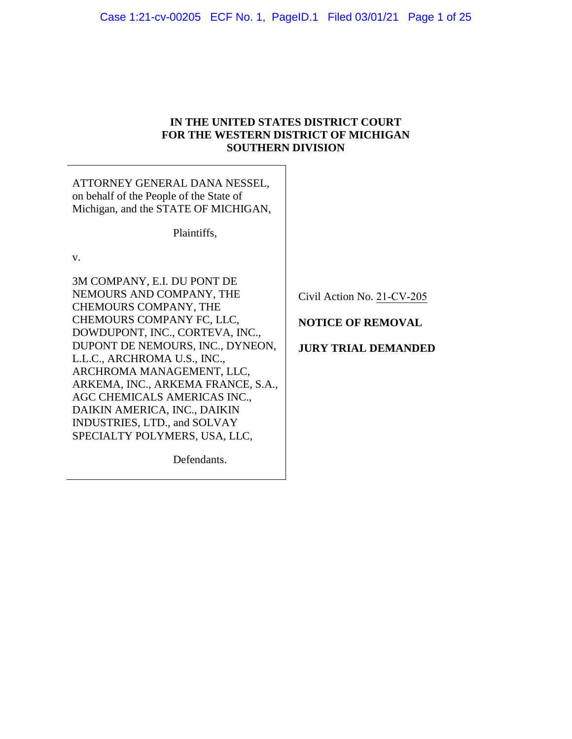# **IN THE UNITED STATES DISTRICT COURT FOR THE WESTERN DISTRICT OF MICHIGAN SOUTHERN DIVISION**

ATTORNEY GENERAL DANA NESSEL, on behalf of the People of the State of Michigan, and the STATE OF MICHIGAN,

Plaintiffs,

v.

3M COMPANY, E.I. DU PONT DE NEMOURS AND COMPANY, THE CHEMOURS COMPANY, THE CHEMOURS COMPANY FC, LLC, DOWDUPONT, INC., CORTEVA, INC., DUPONT DE NEMOURS, INC., DYNEON, L.L.C., ARCHROMA U.S., INC., ARCHROMA MANAGEMENT, LLC, ARKEMA, INC., ARKEMA FRANCE, S.A., AGC CHEMICALS AMERICAS INC., DAIKIN AMERICA, INC., DAIKIN INDUSTRIES, LTD., and SOLVAY SPECIALTY POLYMERS, USA, LLC,

Civil Action No. 21-CV-205

**NOTICE OF REMOVAL** 

# **JURY TRIAL DEMANDED**

Defendants.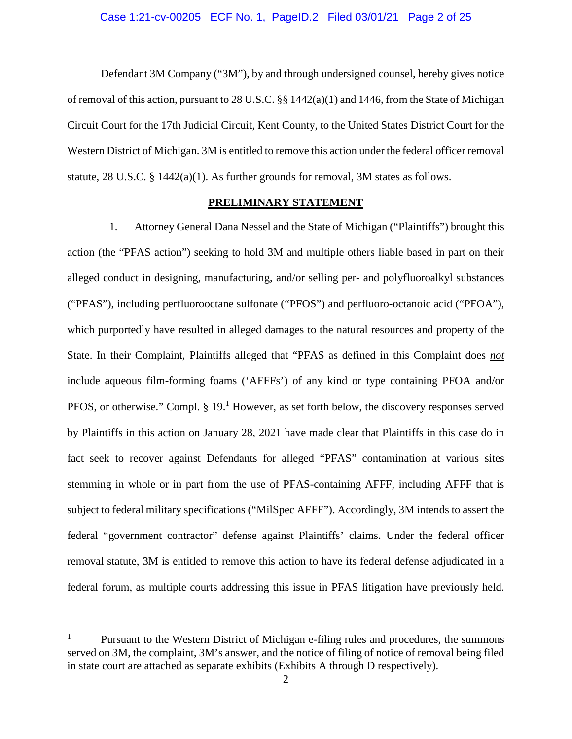Defendant 3M Company ("3M"), by and through undersigned counsel, hereby gives notice of removal of this action, pursuant to 28 U.S.C. §§ 1442(a)(1) and 1446, from the State of Michigan Circuit Court for the 17th Judicial Circuit, Kent County, to the United States District Court for the Western District of Michigan. 3M is entitled to remove this action under the federal officer removal statute, 28 U.S.C. § 1442(a)(1). As further grounds for removal, 3M states as follows.

# **PRELIMINARY STATEMENT**

1. Attorney General Dana Nessel and the State of Michigan ("Plaintiffs") brought this action (the "PFAS action") seeking to hold 3M and multiple others liable based in part on their alleged conduct in designing, manufacturing, and/or selling per- and polyfluoroalkyl substances ("PFAS"), including perfluorooctane sulfonate ("PFOS") and perfluoro-octanoic acid ("PFOA"), which purportedly have resulted in alleged damages to the natural resources and property of the State. In their Complaint, Plaintiffs alleged that "PFAS as defined in this Complaint does *not*  include aqueous film-forming foams ('AFFFs') of any kind or type containing PFOA and/or PFOS, or otherwise." Compl.  $\S 19$ .<sup>1</sup> However, as set forth below, the discovery responses served by Plaintiffs in this action on January 28, 2021 have made clear that Plaintiffs in this case do in fact seek to recover against Defendants for alleged "PFAS" contamination at various sites stemming in whole or in part from the use of PFAS-containing AFFF, including AFFF that is subject to federal military specifications ("MilSpec AFFF"). Accordingly, 3M intends to assert the federal "government contractor" defense against Plaintiffs' claims. Under the federal officer removal statute, 3M is entitled to remove this action to have its federal defense adjudicated in a federal forum, as multiple courts addressing this issue in PFAS litigation have previously held.

<sup>&</sup>lt;sup>1</sup> Pursuant to the Western District of Michigan e-filing rules and procedures, the summons served on 3M, the complaint, 3M's answer, and the notice of filing of notice of removal being filed in state court are attached as separate exhibits (Exhibits A through D respectively).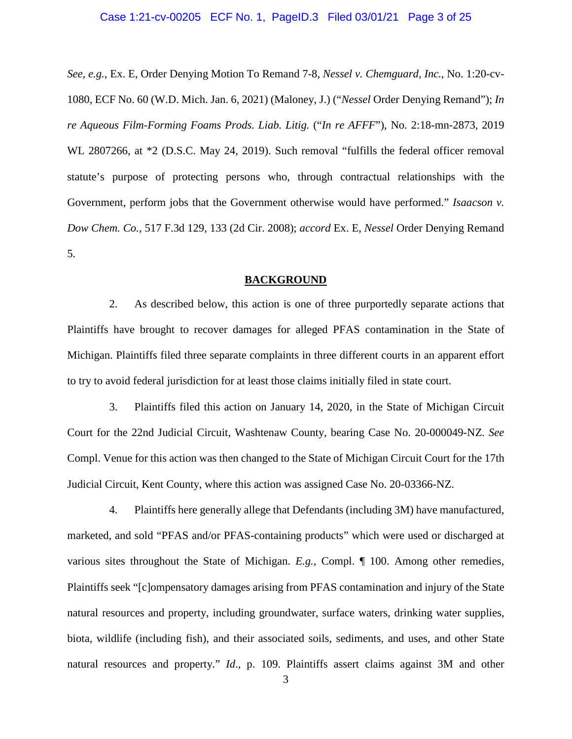## Case 1:21-cv-00205 ECF No. 1, PageID.3 Filed 03/01/21 Page 3 of 25

*See, e.g.*, Ex. E, Order Denying Motion To Remand 7-8, *Nessel v. Chemguard, Inc.*, No. 1:20-cv-1080, ECF No. 60 (W.D. Mich. Jan. 6, 2021) (Maloney, J.) ("*Nessel* Order Denying Remand"); *In re Aqueous Film-Forming Foams Prods. Liab. Litig.* ("*In re AFFF*"), No. 2:18-mn-2873, 2019 WL 2807266, at \*2 (D.S.C. May 24, 2019). Such removal "fulfills the federal officer removal statute's purpose of protecting persons who, through contractual relationships with the Government, perform jobs that the Government otherwise would have performed." *Isaacson v. Dow Chem. Co.*, 517 F.3d 129, 133 (2d Cir. 2008); *accord* Ex. E, *Nessel* Order Denying Remand 5.

### **BACKGROUND**

2. As described below, this action is one of three purportedly separate actions that Plaintiffs have brought to recover damages for alleged PFAS contamination in the State of Michigan. Plaintiffs filed three separate complaints in three different courts in an apparent effort to try to avoid federal jurisdiction for at least those claims initially filed in state court.

3. Plaintiffs filed this action on January 14, 2020, in the State of Michigan Circuit Court for the 22nd Judicial Circuit, Washtenaw County, bearing Case No. 20-000049-NZ. *See* Compl. Venue for this action was then changed to the State of Michigan Circuit Court for the 17th Judicial Circuit, Kent County, where this action was assigned Case No. 20-03366-NZ.

4. Plaintiffs here generally allege that Defendants (including 3M) have manufactured, marketed, and sold "PFAS and/or PFAS-containing products" which were used or discharged at various sites throughout the State of Michigan. *E.g.*, Compl. ¶ 100. Among other remedies, Plaintiffs seek "[c]ompensatory damages arising from PFAS contamination and injury of the State natural resources and property, including groundwater, surface waters, drinking water supplies, biota, wildlife (including fish), and their associated soils, sediments, and uses, and other State natural resources and property." *Id*., p. 109. Plaintiffs assert claims against 3M and other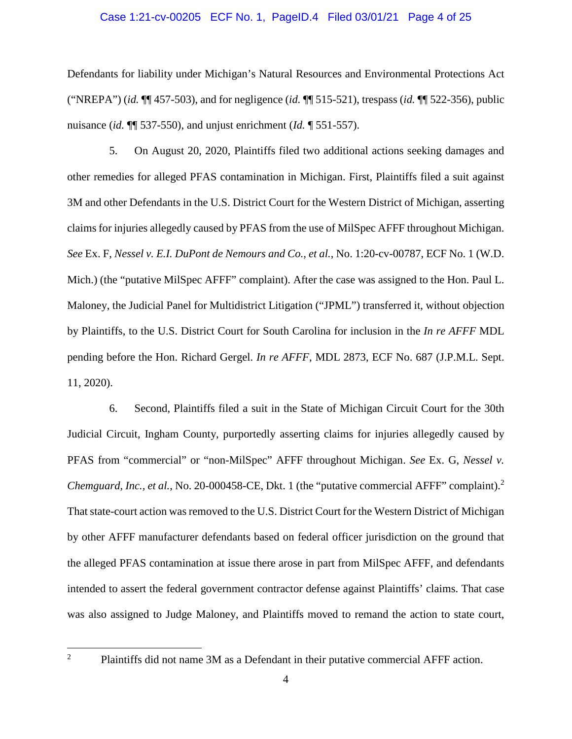### Case 1:21-cv-00205 ECF No. 1, PageID.4 Filed 03/01/21 Page 4 of 25

Defendants for liability under Michigan's Natural Resources and Environmental Protections Act ("NREPA") (*id.* ¶¶ 457-503), and for negligence (*id.* ¶¶ 515-521), trespass (*id.* ¶¶ 522-356), public nuisance (*id.* ¶¶ 537-550), and unjust enrichment (*Id.* ¶ 551-557).

5. On August 20, 2020, Plaintiffs filed two additional actions seeking damages and other remedies for alleged PFAS contamination in Michigan. First, Plaintiffs filed a suit against 3M and other Defendants in the U.S. District Court for the Western District of Michigan, asserting claims for injuries allegedly caused by PFAS from the use of MilSpec AFFF throughout Michigan. *See* Ex. F, *Nessel v. E.I. DuPont de Nemours and Co., et al.*, No. 1:20-cv-00787, ECF No. 1 (W.D. Mich.) (the "putative MilSpec AFFF" complaint). After the case was assigned to the Hon. Paul L. Maloney, the Judicial Panel for Multidistrict Litigation ("JPML") transferred it, without objection by Plaintiffs, to the U.S. District Court for South Carolina for inclusion in the *In re AFFF* MDL pending before the Hon. Richard Gergel. *In re AFFF*, MDL 2873, ECF No. 687 (J.P.M.L. Sept. 11, 2020).

6. Second, Plaintiffs filed a suit in the State of Michigan Circuit Court for the 30th Judicial Circuit, Ingham County, purportedly asserting claims for injuries allegedly caused by PFAS from "commercial" or "non-MilSpec" AFFF throughout Michigan. *See* Ex. G, *Nessel v. Chemguard, Inc., et al., No.* 20-000458-CE, Dkt. 1 (the "putative commercial AFFF" complaint).<sup>2</sup> That state-court action was removed to the U.S. District Court for the Western District of Michigan by other AFFF manufacturer defendants based on federal officer jurisdiction on the ground that the alleged PFAS contamination at issue there arose in part from MilSpec AFFF, and defendants intended to assert the federal government contractor defense against Plaintiffs' claims. That case was also assigned to Judge Maloney, and Plaintiffs moved to remand the action to state court,

<sup>&</sup>lt;sup>2</sup> Plaintiffs did not name 3M as a Defendant in their putative commercial AFFF action.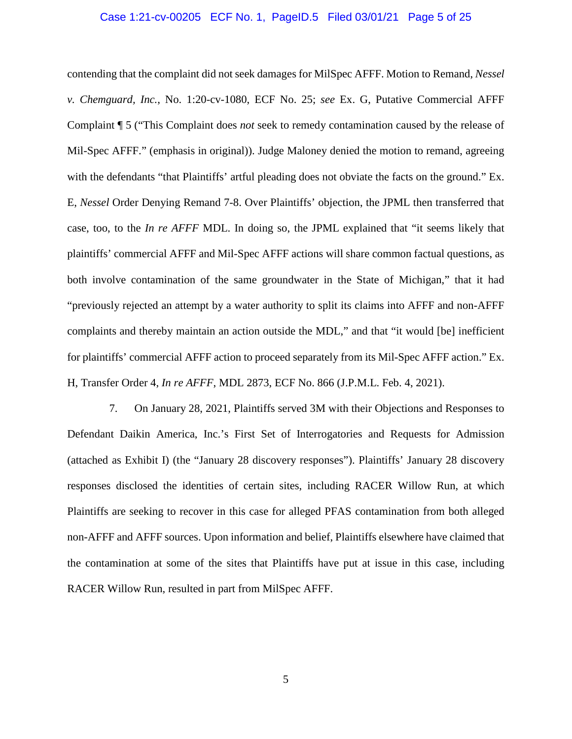## Case 1:21-cv-00205 ECF No. 1, PageID.5 Filed 03/01/21 Page 5 of 25

contending that the complaint did not seek damages for MilSpec AFFF. Motion to Remand, *Nessel v. Chemguard, Inc.*, No. 1:20-cv-1080, ECF No. 25; *see* Ex. G, Putative Commercial AFFF Complaint ¶ 5 ("This Complaint does *not* seek to remedy contamination caused by the release of Mil-Spec AFFF." (emphasis in original)). Judge Maloney denied the motion to remand, agreeing with the defendants "that Plaintiffs' artful pleading does not obviate the facts on the ground." Ex. E, *Nessel* Order Denying Remand 7-8. Over Plaintiffs' objection, the JPML then transferred that case, too, to the *In re AFFF* MDL. In doing so, the JPML explained that "it seems likely that plaintiffs' commercial AFFF and Mil-Spec AFFF actions will share common factual questions, as both involve contamination of the same groundwater in the State of Michigan," that it had "previously rejected an attempt by a water authority to split its claims into AFFF and non-AFFF complaints and thereby maintain an action outside the MDL," and that "it would [be] inefficient for plaintiffs' commercial AFFF action to proceed separately from its Mil-Spec AFFF action." Ex. H, Transfer Order 4, *In re AFFF*, MDL 2873, ECF No. 866 (J.P.M.L. Feb. 4, 2021).

7. On January 28, 2021, Plaintiffs served 3M with their Objections and Responses to Defendant Daikin America, Inc.'s First Set of Interrogatories and Requests for Admission (attached as Exhibit I) (the "January 28 discovery responses"). Plaintiffs' January 28 discovery responses disclosed the identities of certain sites, including RACER Willow Run, at which Plaintiffs are seeking to recover in this case for alleged PFAS contamination from both alleged non-AFFF and AFFF sources. Upon information and belief, Plaintiffs elsewhere have claimed that the contamination at some of the sites that Plaintiffs have put at issue in this case, including RACER Willow Run, resulted in part from MilSpec AFFF.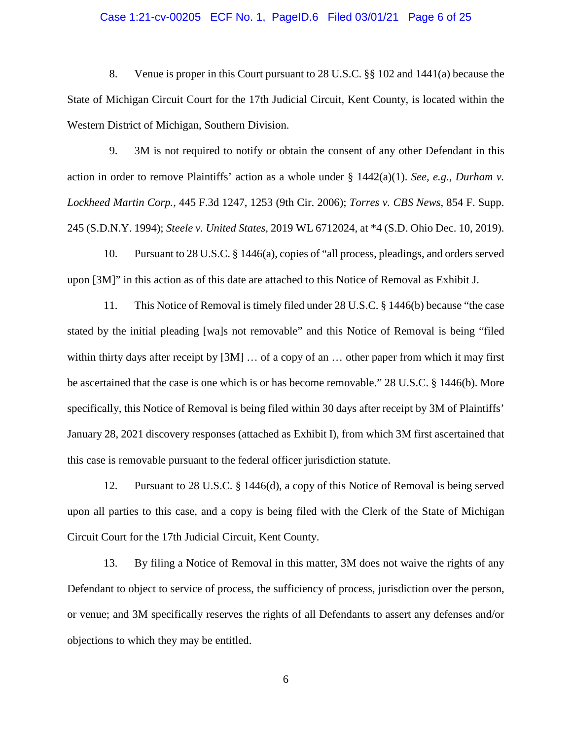## Case 1:21-cv-00205 ECF No. 1, PageID.6 Filed 03/01/21 Page 6 of 25

8. Venue is proper in this Court pursuant to 28 U.S.C. §§ 102 and 1441(a) because the State of Michigan Circuit Court for the 17th Judicial Circuit, Kent County, is located within the Western District of Michigan, Southern Division.

9. 3M is not required to notify or obtain the consent of any other Defendant in this action in order to remove Plaintiffs' action as a whole under § 1442(a)(1). *See, e.g.*, *Durham v. Lockheed Martin Corp.*, 445 F.3d 1247, 1253 (9th Cir. 2006); *Torres v. CBS News*, 854 F. Supp. 245 (S.D.N.Y. 1994); *Steele v. United States*, 2019 WL 6712024, at \*4 (S.D. Ohio Dec. 10, 2019).

10. Pursuant to 28 U.S.C. § 1446(a), copies of "all process, pleadings, and orders served upon [3M]" in this action as of this date are attached to this Notice of Removal as Exhibit J.

11. This Notice of Removal is timely filed under 28 U.S.C. § 1446(b) because "the case stated by the initial pleading [wa]s not removable" and this Notice of Removal is being "filed within thirty days after receipt by [3M] ... of a copy of an ... other paper from which it may first be ascertained that the case is one which is or has become removable." 28 U.S.C. § 1446(b). More specifically, this Notice of Removal is being filed within 30 days after receipt by 3M of Plaintiffs' January 28, 2021 discovery responses (attached as Exhibit I), from which 3M first ascertained that this case is removable pursuant to the federal officer jurisdiction statute.

12. Pursuant to 28 U.S.C. § 1446(d), a copy of this Notice of Removal is being served upon all parties to this case, and a copy is being filed with the Clerk of the State of Michigan Circuit Court for the 17th Judicial Circuit, Kent County.

13. By filing a Notice of Removal in this matter, 3M does not waive the rights of any Defendant to object to service of process, the sufficiency of process, jurisdiction over the person, or venue; and 3M specifically reserves the rights of all Defendants to assert any defenses and/or objections to which they may be entitled.

6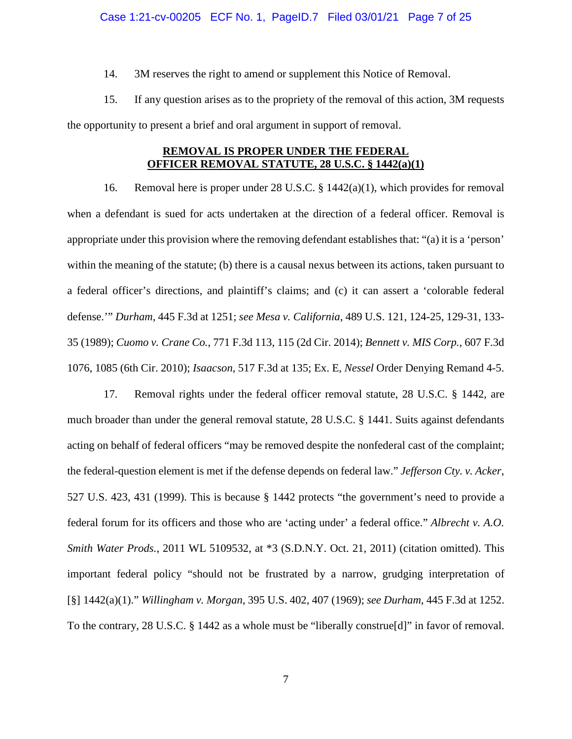#### Case 1:21-cv-00205 ECF No. 1, PageID.7 Filed 03/01/21 Page 7 of 25

14. 3M reserves the right to amend or supplement this Notice of Removal.

15. If any question arises as to the propriety of the removal of this action, 3M requests the opportunity to present a brief and oral argument in support of removal.

# **REMOVAL IS PROPER UNDER THE FEDERAL OFFICER REMOVAL STATUTE, 28 U.S.C. § 1442(a)(1)**

16. Removal here is proper under 28 U.S.C. § 1442(a)(1), which provides for removal when a defendant is sued for acts undertaken at the direction of a federal officer. Removal is appropriate under this provision where the removing defendant establishes that: "(a) it is a 'person' within the meaning of the statute; (b) there is a causal nexus between its actions, taken pursuant to a federal officer's directions, and plaintiff's claims; and (c) it can assert a 'colorable federal defense.'" *Durham*, 445 F.3d at 1251; *see Mesa v. California*, 489 U.S. 121, 124-25, 129-31, 133- 35 (1989); *Cuomo v. Crane Co.*, 771 F.3d 113, 115 (2d Cir. 2014); *Bennett v. MIS Corp.*, 607 F.3d 1076, 1085 (6th Cir. 2010); *Isaacson*, 517 F.3d at 135; Ex. E, *Nessel* Order Denying Remand 4-5.

17. Removal rights under the federal officer removal statute, 28 U.S.C. § 1442, are much broader than under the general removal statute, 28 U.S.C. § 1441. Suits against defendants acting on behalf of federal officers "may be removed despite the nonfederal cast of the complaint; the federal-question element is met if the defense depends on federal law." *Jefferson Cty. v. Acker*, 527 U.S. 423, 431 (1999). This is because § 1442 protects "the government's need to provide a federal forum for its officers and those who are 'acting under' a federal office." *Albrecht v. A.O. Smith Water Prods.*, 2011 WL 5109532, at \*3 (S.D.N.Y. Oct. 21, 2011) (citation omitted). This important federal policy "should not be frustrated by a narrow, grudging interpretation of [§] 1442(a)(1)." *Willingham v. Morgan*, 395 U.S. 402, 407 (1969); *see Durham*, 445 F.3d at 1252. To the contrary, 28 U.S.C. § 1442 as a whole must be "liberally construe[d]" in favor of removal.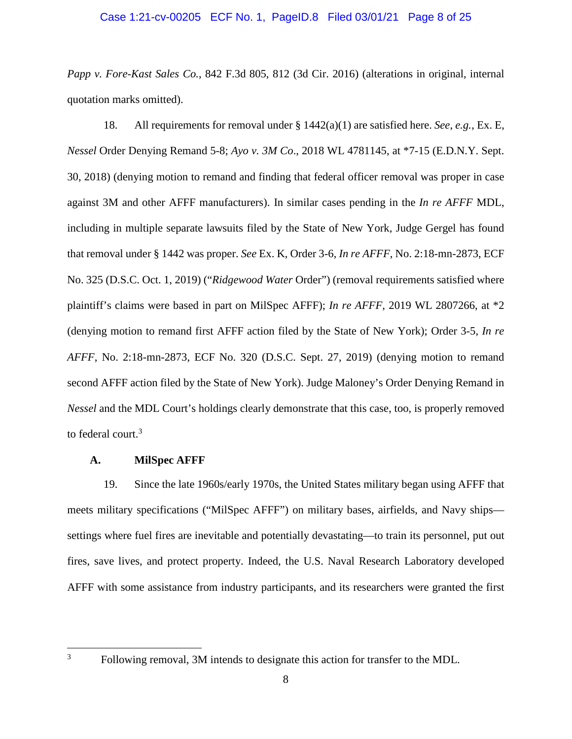## Case 1:21-cv-00205 ECF No. 1, PageID.8 Filed 03/01/21 Page 8 of 25

*Papp v. Fore-Kast Sales Co.*, 842 F.3d 805, 812 (3d Cir. 2016) (alterations in original, internal quotation marks omitted).

18. All requirements for removal under § 1442(a)(1) are satisfied here. *See*, *e.g.*, Ex. E, *Nessel* Order Denying Remand 5-8; *Ayo v. 3M Co*., 2018 WL 4781145, at \*7-15 (E.D.N.Y. Sept. 30, 2018) (denying motion to remand and finding that federal officer removal was proper in case against 3M and other AFFF manufacturers). In similar cases pending in the *In re AFFF* MDL, including in multiple separate lawsuits filed by the State of New York, Judge Gergel has found that removal under § 1442 was proper. *See* Ex. K, Order 3-6, *In re AFFF*, No. 2:18-mn-2873, ECF No. 325 (D.S.C. Oct. 1, 2019) ("*Ridgewood Water* Order") (removal requirements satisfied where plaintiff's claims were based in part on MilSpec AFFF); *In re AFFF*, 2019 WL 2807266, at \*2 (denying motion to remand first AFFF action filed by the State of New York); Order 3-5, *In re AFFF*, No. 2:18-mn-2873, ECF No. 320 (D.S.C. Sept. 27, 2019) (denying motion to remand second AFFF action filed by the State of New York). Judge Maloney's Order Denying Remand in *Nessel* and the MDL Court's holdings clearly demonstrate that this case, too, is properly removed to federal court.<sup>3</sup>

# **A. MilSpec AFFF**

19. Since the late 1960s/early 1970s, the United States military began using AFFF that meets military specifications ("MilSpec AFFF") on military bases, airfields, and Navy ships settings where fuel fires are inevitable and potentially devastating—to train its personnel, put out fires, save lives, and protect property. Indeed, the U.S. Naval Research Laboratory developed AFFF with some assistance from industry participants, and its researchers were granted the first

<sup>&</sup>lt;sup>3</sup> Following removal, 3M intends to designate this action for transfer to the MDL.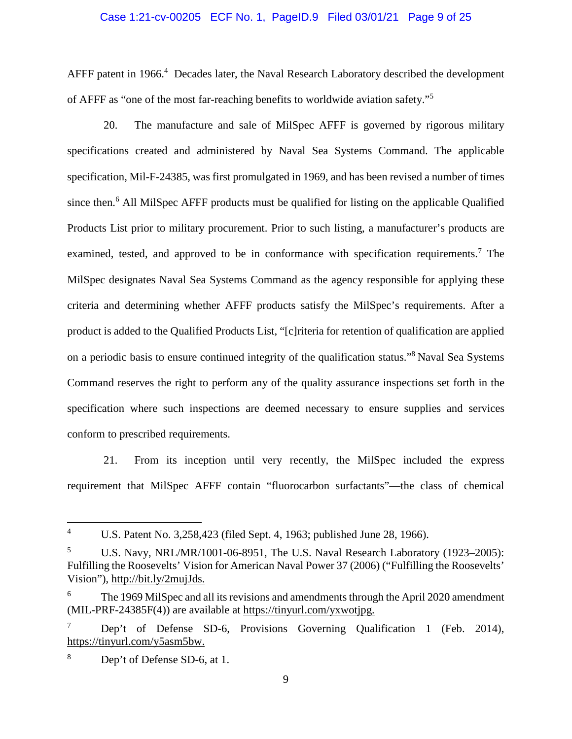## Case 1:21-cv-00205 ECF No. 1, PageID.9 Filed 03/01/21 Page 9 of 25

AFFF patent in 1966.<sup>4</sup> Decades later, the Naval Research Laboratory described the development of AFFF as "one of the most far-reaching benefits to worldwide aviation safety."<sup>5</sup>

20. The manufacture and sale of MilSpec AFFF is governed by rigorous military specifications created and administered by Naval Sea Systems Command. The applicable specification, Mil-F-24385, was first promulgated in 1969, and has been revised a number of times since then.<sup>6</sup> All MilSpec AFFF products must be qualified for listing on the applicable Qualified Products List prior to military procurement. Prior to such listing, a manufacturer's products are examined, tested, and approved to be in conformance with specification requirements.<sup>7</sup> The MilSpec designates Naval Sea Systems Command as the agency responsible for applying these criteria and determining whether AFFF products satisfy the MilSpec's requirements. After a product is added to the Qualified Products List, "[c]riteria for retention of qualification are applied on a periodic basis to ensure continued integrity of the qualification status."<sup>8</sup>Naval Sea Systems Command reserves the right to perform any of the quality assurance inspections set forth in the specification where such inspections are deemed necessary to ensure supplies and services conform to prescribed requirements.

21. From its inception until very recently, the MilSpec included the express requirement that MilSpec AFFF contain "fluorocarbon surfactants"—the class of chemical

<sup>8</sup> Dep't of Defense SD-6, at 1.

<sup>4</sup> U.S. Patent No. 3,258,423 (filed Sept. 4, 1963; published June 28, 1966).

<sup>5</sup> U.S. Navy, NRL/MR/1001-06-8951, The U.S. Naval Research Laboratory (1923–2005): Fulfilling the Roosevelts' Vision for American Naval Power 37 (2006) ("Fulfilling the Roosevelts' Vision"), http://bit.ly/2mujJds.

<sup>&</sup>lt;sup>6</sup> The 1969 MilSpec and all its revisions and amendments through the April 2020 amendment (MIL-PRF-24385F(4)) are available at https://tinyurl.com/yxwotjpg.

Dep't of Defense SD-6, Provisions Governing Qualification 1 (Feb. 2014), https://tinyurl.com/y5asm5bw.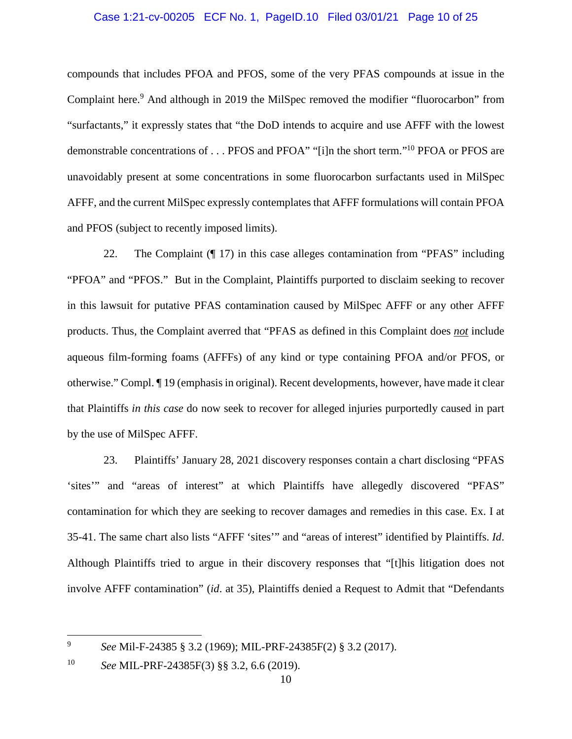# Case 1:21-cv-00205 ECF No. 1, PageID.10 Filed 03/01/21 Page 10 of 25

compounds that includes PFOA and PFOS, some of the very PFAS compounds at issue in the Complaint here.<sup>9</sup> And although in 2019 the MilSpec removed the modifier "fluorocarbon" from "surfactants," it expressly states that "the DoD intends to acquire and use AFFF with the lowest demonstrable concentrations of . . . PFOS and PFOA" "[i]n the short term."<sup>10</sup> PFOA or PFOS are unavoidably present at some concentrations in some fluorocarbon surfactants used in MilSpec AFFF, and the current MilSpec expressly contemplates that AFFF formulations will contain PFOA and PFOS (subject to recently imposed limits).

22. The Complaint (¶ 17) in this case alleges contamination from "PFAS" including "PFOA" and "PFOS." But in the Complaint, Plaintiffs purported to disclaim seeking to recover in this lawsuit for putative PFAS contamination caused by MilSpec AFFF or any other AFFF products. Thus, the Complaint averred that "PFAS as defined in this Complaint does *not* include aqueous film-forming foams (AFFFs) of any kind or type containing PFOA and/or PFOS, or otherwise." Compl. ¶ 19 (emphasis in original). Recent developments, however, have made it clear that Plaintiffs *in this case* do now seek to recover for alleged injuries purportedly caused in part by the use of MilSpec AFFF.

23. Plaintiffs' January 28, 2021 discovery responses contain a chart disclosing "PFAS 'sites'" and "areas of interest" at which Plaintiffs have allegedly discovered "PFAS" contamination for which they are seeking to recover damages and remedies in this case. Ex. I at 35-41. The same chart also lists "AFFF 'sites'" and "areas of interest" identified by Plaintiffs. *Id*. Although Plaintiffs tried to argue in their discovery responses that "[t]his litigation does not involve AFFF contamination" (*id*. at 35), Plaintiffs denied a Request to Admit that "Defendants

<sup>9</sup> *See* Mil-F-24385 § 3.2 (1969); MIL-PRF-24385F(2) § 3.2 (2017).

<sup>10</sup> *See* MIL-PRF-24385F(3) §§ 3.2, 6.6 (2019).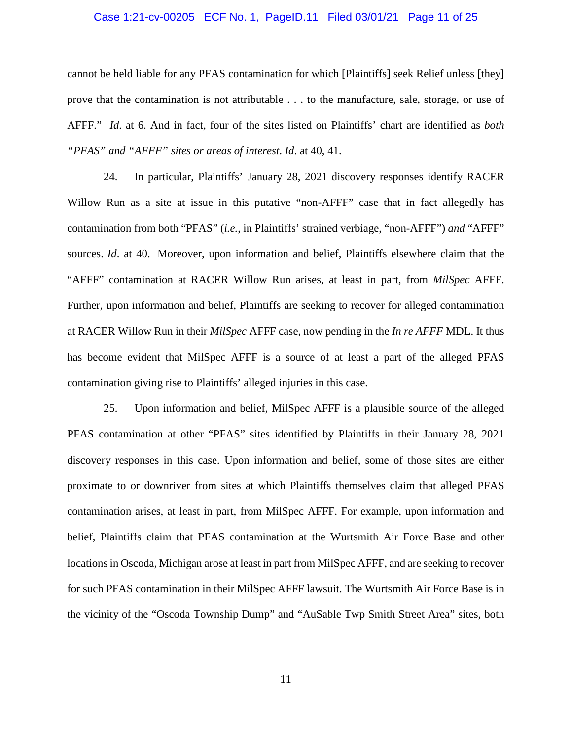## Case 1:21-cv-00205 ECF No. 1, PageID.11 Filed 03/01/21 Page 11 of 25

cannot be held liable for any PFAS contamination for which [Plaintiffs] seek Relief unless [they] prove that the contamination is not attributable . . . to the manufacture, sale, storage, or use of AFFF." *Id*. at 6. And in fact, four of the sites listed on Plaintiffs' chart are identified as *both "PFAS" and "AFFF" sites or areas of interest*. *Id*. at 40, 41.

24. In particular, Plaintiffs' January 28, 2021 discovery responses identify RACER Willow Run as a site at issue in this putative "non-AFFF" case that in fact allegedly has contamination from both "PFAS" (*i.e.*, in Plaintiffs' strained verbiage, "non-AFFF") *and* "AFFF" sources. *Id*. at 40. Moreover, upon information and belief, Plaintiffs elsewhere claim that the "AFFF" contamination at RACER Willow Run arises, at least in part, from *MilSpec* AFFF. Further, upon information and belief, Plaintiffs are seeking to recover for alleged contamination at RACER Willow Run in their *MilSpec* AFFF case, now pending in the *In re AFFF* MDL. It thus has become evident that MilSpec AFFF is a source of at least a part of the alleged PFAS contamination giving rise to Plaintiffs' alleged injuries in this case.

25. Upon information and belief, MilSpec AFFF is a plausible source of the alleged PFAS contamination at other "PFAS" sites identified by Plaintiffs in their January 28, 2021 discovery responses in this case. Upon information and belief, some of those sites are either proximate to or downriver from sites at which Plaintiffs themselves claim that alleged PFAS contamination arises, at least in part, from MilSpec AFFF. For example, upon information and belief, Plaintiffs claim that PFAS contamination at the Wurtsmith Air Force Base and other locations in Oscoda, Michigan arose at least in part from MilSpec AFFF, and are seeking to recover for such PFAS contamination in their MilSpec AFFF lawsuit. The Wurtsmith Air Force Base is in the vicinity of the "Oscoda Township Dump" and "AuSable Twp Smith Street Area" sites, both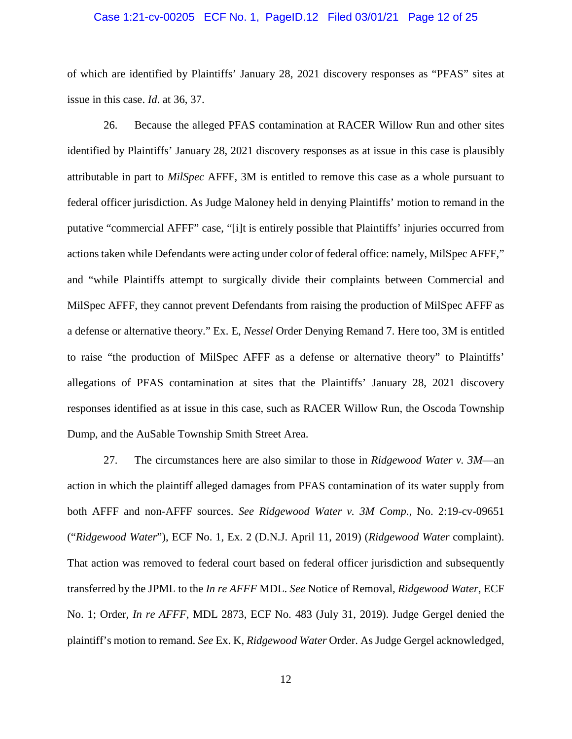### Case 1:21-cv-00205 ECF No. 1, PageID.12 Filed 03/01/21 Page 12 of 25

of which are identified by Plaintiffs' January 28, 2021 discovery responses as "PFAS" sites at issue in this case. *Id*. at 36, 37.

26. Because the alleged PFAS contamination at RACER Willow Run and other sites identified by Plaintiffs' January 28, 2021 discovery responses as at issue in this case is plausibly attributable in part to *MilSpec* AFFF, 3M is entitled to remove this case as a whole pursuant to federal officer jurisdiction. As Judge Maloney held in denying Plaintiffs' motion to remand in the putative "commercial AFFF" case, "[i]t is entirely possible that Plaintiffs' injuries occurred from actions taken while Defendants were acting under color of federal office: namely, MilSpec AFFF," and "while Plaintiffs attempt to surgically divide their complaints between Commercial and MilSpec AFFF, they cannot prevent Defendants from raising the production of MilSpec AFFF as a defense or alternative theory." Ex. E, *Nessel* Order Denying Remand 7. Here too, 3M is entitled to raise "the production of MilSpec AFFF as a defense or alternative theory" to Plaintiffs' allegations of PFAS contamination at sites that the Plaintiffs' January 28, 2021 discovery responses identified as at issue in this case, such as RACER Willow Run, the Oscoda Township Dump, and the AuSable Township Smith Street Area.

27. The circumstances here are also similar to those in *Ridgewood Water v. 3M*—an action in which the plaintiff alleged damages from PFAS contamination of its water supply from both AFFF and non-AFFF sources. *See Ridgewood Water v. 3M Comp.*, No. 2:19-cv-09651 ("*Ridgewood Water*"), ECF No. 1, Ex. 2 (D.N.J. April 11, 2019) (*Ridgewood Water* complaint). That action was removed to federal court based on federal officer jurisdiction and subsequently transferred by the JPML to the *In re AFFF* MDL. *See* Notice of Removal, *Ridgewood Water*, ECF No. 1; Order, *In re AFFF*, MDL 2873, ECF No. 483 (July 31, 2019). Judge Gergel denied the plaintiff's motion to remand. *See* Ex. K, *Ridgewood Water* Order. As Judge Gergel acknowledged,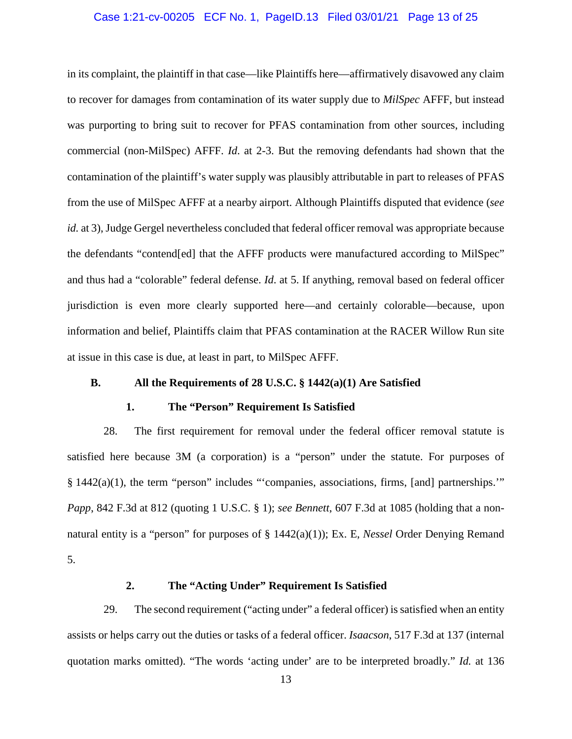## Case 1:21-cv-00205 ECF No. 1, PageID.13 Filed 03/01/21 Page 13 of 25

in its complaint, the plaintiff in that case—like Plaintiffs here—affirmatively disavowed any claim to recover for damages from contamination of its water supply due to *MilSpec* AFFF, but instead was purporting to bring suit to recover for PFAS contamination from other sources, including commercial (non-MilSpec) AFFF. *Id*. at 2-3. But the removing defendants had shown that the contamination of the plaintiff's water supply was plausibly attributable in part to releases of PFAS from the use of MilSpec AFFF at a nearby airport. Although Plaintiffs disputed that evidence (*see id.* at 3), Judge Gergel nevertheless concluded that federal officer removal was appropriate because the defendants "contend[ed] that the AFFF products were manufactured according to MilSpec" and thus had a "colorable" federal defense. *Id*. at 5. If anything, removal based on federal officer jurisdiction is even more clearly supported here—and certainly colorable—because, upon information and belief, Plaintiffs claim that PFAS contamination at the RACER Willow Run site at issue in this case is due, at least in part, to MilSpec AFFF.

# **B. All the Requirements of 28 U.S.C. § 1442(a)(1) Are Satisfied**

# **1. The "Person" Requirement Is Satisfied**

28. The first requirement for removal under the federal officer removal statute is satisfied here because 3M (a corporation) is a "person" under the statute. For purposes of § 1442(a)(1), the term "person" includes "'companies, associations, firms, [and] partnerships." *Papp*, 842 F.3d at 812 (quoting 1 U.S.C. § 1); *see Bennett*, 607 F.3d at 1085 (holding that a nonnatural entity is a "person" for purposes of § 1442(a)(1)); Ex. E, *Nessel* Order Denying Remand 5.

# **2. The "Acting Under" Requirement Is Satisfied**

29. The second requirement ("acting under" a federal officer) is satisfied when an entity assists or helps carry out the duties or tasks of a federal officer. *Isaacson*, 517 F.3d at 137 (internal quotation marks omitted). "The words 'acting under' are to be interpreted broadly." *Id.* at 136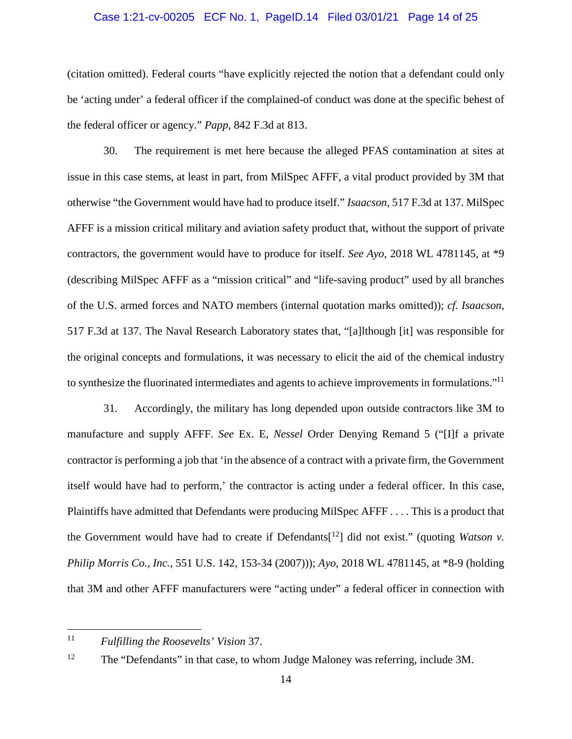# Case 1:21-cv-00205 ECF No. 1, PageID.14 Filed 03/01/21 Page 14 of 25

(citation omitted). Federal courts "have explicitly rejected the notion that a defendant could only be 'acting under' a federal officer if the complained-of conduct was done at the specific behest of the federal officer or agency." *Papp*, 842 F.3d at 813.

30. The requirement is met here because the alleged PFAS contamination at sites at issue in this case stems, at least in part, from MilSpec AFFF, a vital product provided by 3M that otherwise "the Government would have had to produce itself." *Isaacson*, 517 F.3d at 137. MilSpec AFFF is a mission critical military and aviation safety product that, without the support of private contractors, the government would have to produce for itself. *See Ayo*, 2018 WL 4781145, at \*9 (describing MilSpec AFFF as a "mission critical" and "life-saving product" used by all branches of the U.S. armed forces and NATO members (internal quotation marks omitted)); *cf. Isaacson*, 517 F.3d at 137. The Naval Research Laboratory states that, "[a]lthough [it] was responsible for the original concepts and formulations, it was necessary to elicit the aid of the chemical industry to synthesize the fluorinated intermediates and agents to achieve improvements in formulations."<sup>11</sup>

31. Accordingly, the military has long depended upon outside contractors like 3M to manufacture and supply AFFF. *See* Ex. E, *Nessel* Order Denying Remand 5 ("[I]f a private contractor is performing a job that 'in the absence of a contract with a private firm, the Government itself would have had to perform,' the contractor is acting under a federal officer. In this case, Plaintiffs have admitted that Defendants were producing MilSpec AFFF . . . . This is a product that the Government would have had to create if Defendants<sup>[12</sup>] did not exist." (quoting *Watson v. Philip Morris Co., Inc.*, 551 U.S. 142, 153-34 (2007))); *Ayo*, 2018 WL 4781145, at \*8-9 (holding that 3M and other AFFF manufacturers were "acting under" a federal officer in connection with

<sup>11</sup> *Fulfilling the Roosevelts' Vision* 37.

<sup>&</sup>lt;sup>12</sup> The "Defendants" in that case, to whom Judge Maloney was referring, include 3M.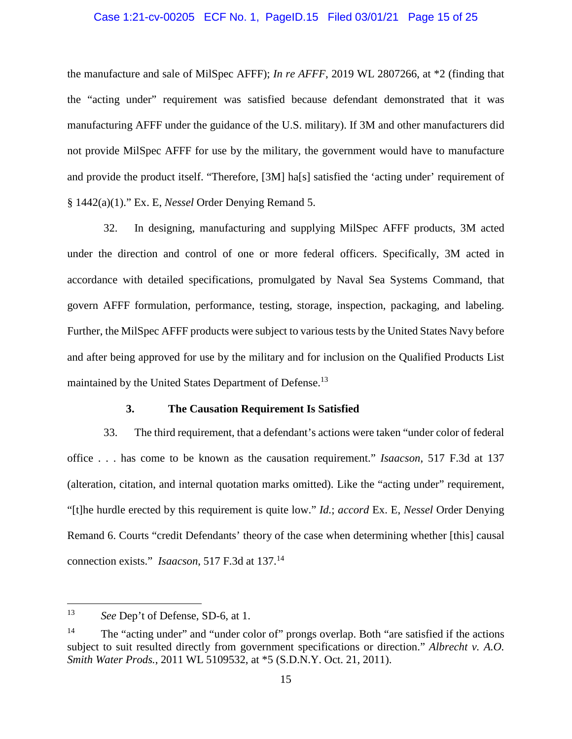## Case 1:21-cv-00205 ECF No. 1, PageID.15 Filed 03/01/21 Page 15 of 25

the manufacture and sale of MilSpec AFFF); *In re AFFF*, 2019 WL 2807266, at \*2 (finding that the "acting under" requirement was satisfied because defendant demonstrated that it was manufacturing AFFF under the guidance of the U.S. military). If 3M and other manufacturers did not provide MilSpec AFFF for use by the military, the government would have to manufacture and provide the product itself. "Therefore, [3M] ha[s] satisfied the 'acting under' requirement of § 1442(a)(1)." Ex. E, *Nessel* Order Denying Remand 5.

32. In designing, manufacturing and supplying MilSpec AFFF products, 3M acted under the direction and control of one or more federal officers. Specifically, 3M acted in accordance with detailed specifications, promulgated by Naval Sea Systems Command, that govern AFFF formulation, performance, testing, storage, inspection, packaging, and labeling. Further, the MilSpec AFFF products were subject to various tests by the United States Navy before and after being approved for use by the military and for inclusion on the Qualified Products List maintained by the United States Department of Defense.<sup>13</sup>

## **3. The Causation Requirement Is Satisfied**

33. The third requirement, that a defendant's actions were taken "under color of federal office . . . has come to be known as the causation requirement." *Isaacson*, 517 F.3d at 137 (alteration, citation, and internal quotation marks omitted). Like the "acting under" requirement, "[t]he hurdle erected by this requirement is quite low." *Id.*; *accord* Ex. E, *Nessel* Order Denying Remand 6. Courts "credit Defendants' theory of the case when determining whether [this] causal connection exists." *Isaacson*, 517 F.3d at 137.<sup>14</sup>

<sup>13</sup> *See* Dep't of Defense, SD-6, at 1.

<sup>&</sup>lt;sup>14</sup> The "acting under" and "under color of" prongs overlap. Both "are satisfied if the actions subject to suit resulted directly from government specifications or direction." *Albrecht v. A.O. Smith Water Prods.*, 2011 WL 5109532, at \*5 (S.D.N.Y. Oct. 21, 2011).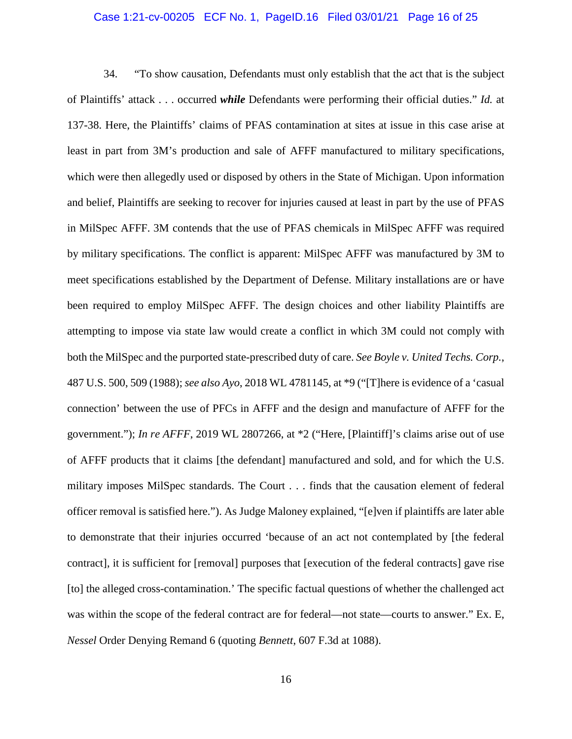#### Case 1:21-cv-00205 ECF No. 1, PageID.16 Filed 03/01/21 Page 16 of 25

34. "To show causation, Defendants must only establish that the act that is the subject of Plaintiffs' attack . . . occurred *while* Defendants were performing their official duties." *Id.* at 137-38. Here, the Plaintiffs' claims of PFAS contamination at sites at issue in this case arise at least in part from 3M's production and sale of AFFF manufactured to military specifications, which were then allegedly used or disposed by others in the State of Michigan. Upon information and belief, Plaintiffs are seeking to recover for injuries caused at least in part by the use of PFAS in MilSpec AFFF. 3M contends that the use of PFAS chemicals in MilSpec AFFF was required by military specifications. The conflict is apparent: MilSpec AFFF was manufactured by 3M to meet specifications established by the Department of Defense. Military installations are or have been required to employ MilSpec AFFF. The design choices and other liability Plaintiffs are attempting to impose via state law would create a conflict in which 3M could not comply with both the MilSpec and the purported state-prescribed duty of care. *See Boyle v. United Techs. Corp.*, 487 U.S. 500, 509 (1988); *see also Ayo*, 2018 WL 4781145, at \*9 ("[T]here is evidence of a 'casual connection' between the use of PFCs in AFFF and the design and manufacture of AFFF for the government."); *In re AFFF*, 2019 WL 2807266, at \*2 ("Here, [Plaintiff]'s claims arise out of use of AFFF products that it claims [the defendant] manufactured and sold, and for which the U.S. military imposes MilSpec standards. The Court . . . finds that the causation element of federal officer removal is satisfied here."). As Judge Maloney explained, "[e]ven if plaintiffs are later able to demonstrate that their injuries occurred 'because of an act not contemplated by [the federal contract], it is sufficient for [removal] purposes that [execution of the federal contracts] gave rise [to] the alleged cross-contamination.' The specific factual questions of whether the challenged act was within the scope of the federal contract are for federal—not state—courts to answer." Ex. E, *Nessel* Order Denying Remand 6 (quoting *Bennett*, 607 F.3d at 1088).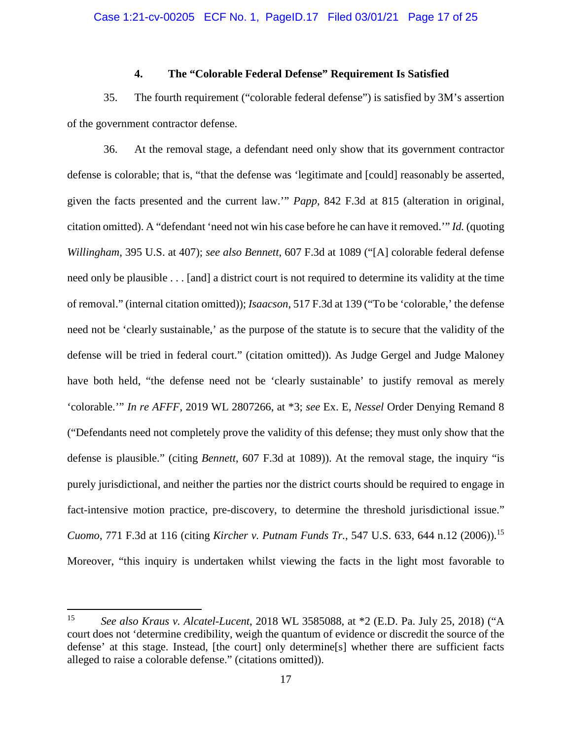# **4. The "Colorable Federal Defense" Requirement Is Satisfied**

35. The fourth requirement ("colorable federal defense") is satisfied by 3M's assertion of the government contractor defense.

36. At the removal stage, a defendant need only show that its government contractor defense is colorable; that is, "that the defense was 'legitimate and [could] reasonably be asserted, given the facts presented and the current law.'" *Papp*, 842 F.3d at 815 (alteration in original, citation omitted). A "defendant 'need not win his case before he can have it removed.'" *Id.* (quoting *Willingham*, 395 U.S. at 407); *see also Bennett*, 607 F.3d at 1089 ("[A] colorable federal defense need only be plausible . . . [and] a district court is not required to determine its validity at the time of removal." (internal citation omitted)); *Isaacson*, 517 F.3d at 139 ("To be 'colorable,' the defense need not be 'clearly sustainable,' as the purpose of the statute is to secure that the validity of the defense will be tried in federal court." (citation omitted)). As Judge Gergel and Judge Maloney have both held, "the defense need not be 'clearly sustainable' to justify removal as merely 'colorable.'" *In re AFFF*, 2019 WL 2807266, at \*3; *see* Ex. E, *Nessel* Order Denying Remand 8 ("Defendants need not completely prove the validity of this defense; they must only show that the defense is plausible." (citing *Bennett*, 607 F.3d at 1089)). At the removal stage, the inquiry "is purely jurisdictional, and neither the parties nor the district courts should be required to engage in fact-intensive motion practice, pre-discovery, to determine the threshold jurisdictional issue." *Cuomo*, 771 F.3d at 116 (citing *Kircher v. Putnam Funds Tr.*, 547 U.S. 633, 644 n.12 (2006)).<sup>15</sup> Moreover, "this inquiry is undertaken whilst viewing the facts in the light most favorable to

<sup>15</sup> *See also Kraus v. Alcatel-Lucent*, 2018 WL 3585088, at \*2 (E.D. Pa. July 25, 2018) ("A court does not 'determine credibility, weigh the quantum of evidence or discredit the source of the defense' at this stage. Instead, [the court] only determine[s] whether there are sufficient facts alleged to raise a colorable defense." (citations omitted)).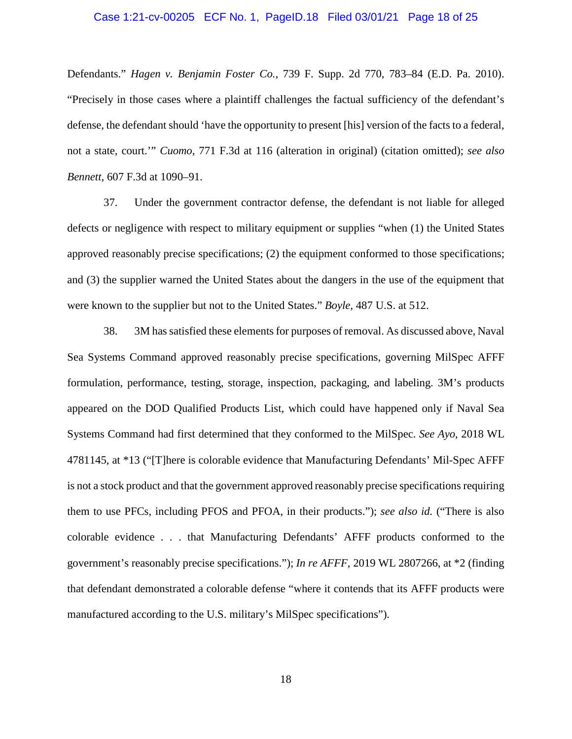### Case 1:21-cv-00205 ECF No. 1, PageID.18 Filed 03/01/21 Page 18 of 25

Defendants." *Hagen v. Benjamin Foster Co.*, 739 F. Supp. 2d 770, 783–84 (E.D. Pa. 2010). "Precisely in those cases where a plaintiff challenges the factual sufficiency of the defendant's defense, the defendant should 'have the opportunity to present [his] version of the facts to a federal, not a state, court.'" *Cuomo*, 771 F.3d at 116 (alteration in original) (citation omitted); *see also Bennett*, 607 F.3d at 1090–91.

37. Under the government contractor defense, the defendant is not liable for alleged defects or negligence with respect to military equipment or supplies "when (1) the United States approved reasonably precise specifications; (2) the equipment conformed to those specifications; and (3) the supplier warned the United States about the dangers in the use of the equipment that were known to the supplier but not to the United States." *Boyle*, 487 U.S. at 512.

38. 3M has satisfied these elements for purposes of removal. As discussed above, Naval Sea Systems Command approved reasonably precise specifications, governing MilSpec AFFF formulation, performance, testing, storage, inspection, packaging, and labeling. 3M's products appeared on the DOD Qualified Products List, which could have happened only if Naval Sea Systems Command had first determined that they conformed to the MilSpec. *See Ayo*, 2018 WL 4781145, at \*13 ("[T]here is colorable evidence that Manufacturing Defendants' Mil-Spec AFFF is not a stock product and that the government approved reasonably precise specifications requiring them to use PFCs, including PFOS and PFOA, in their products."); *see also id.* ("There is also colorable evidence . . . that Manufacturing Defendants' AFFF products conformed to the government's reasonably precise specifications."); *In re AFFF*, 2019 WL 2807266, at \*2 (finding that defendant demonstrated a colorable defense "where it contends that its AFFF products were manufactured according to the U.S. military's MilSpec specifications").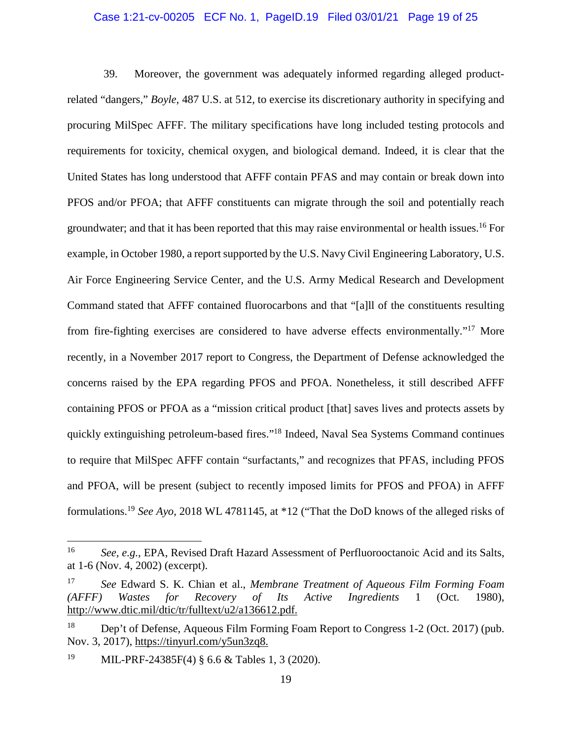## Case 1:21-cv-00205 ECF No. 1, PageID.19 Filed 03/01/21 Page 19 of 25

39. Moreover, the government was adequately informed regarding alleged productrelated "dangers," *Boyle*, 487 U.S. at 512, to exercise its discretionary authority in specifying and procuring MilSpec AFFF. The military specifications have long included testing protocols and requirements for toxicity, chemical oxygen, and biological demand. Indeed, it is clear that the United States has long understood that AFFF contain PFAS and may contain or break down into PFOS and/or PFOA; that AFFF constituents can migrate through the soil and potentially reach groundwater; and that it has been reported that this may raise environmental or health issues.<sup>16</sup> For example, in October 1980, a report supported by the U.S. Navy Civil Engineering Laboratory, U.S. Air Force Engineering Service Center, and the U.S. Army Medical Research and Development Command stated that AFFF contained fluorocarbons and that "[a]ll of the constituents resulting from fire-fighting exercises are considered to have adverse effects environmentally."<sup>17</sup> More recently, in a November 2017 report to Congress, the Department of Defense acknowledged the concerns raised by the EPA regarding PFOS and PFOA. Nonetheless, it still described AFFF containing PFOS or PFOA as a "mission critical product [that] saves lives and protects assets by quickly extinguishing petroleum-based fires."<sup>18</sup> Indeed, Naval Sea Systems Command continues to require that MilSpec AFFF contain "surfactants," and recognizes that PFAS, including PFOS and PFOA, will be present (subject to recently imposed limits for PFOS and PFOA) in AFFF formulations.<sup>19</sup> *See Ayo*, 2018 WL 4781145, at \*12 ("That the DoD knows of the alleged risks of

<sup>16</sup> *See, e.g.*, EPA, Revised Draft Hazard Assessment of Perfluorooctanoic Acid and its Salts, at 1-6 (Nov. 4, 2002) (excerpt).

<sup>17</sup> *See* Edward S. K. Chian et al., *Membrane Treatment of Aqueous Film Forming Foam (AFFF) Wastes for Recovery of Its Active Ingredients* 1 (Oct. 1980), http://www.dtic.mil/dtic/tr/fulltext/u2/a136612.pdf.

<sup>18</sup> Dep't of Defense, Aqueous Film Forming Foam Report to Congress 1-2 (Oct. 2017) (pub. Nov. 3, 2017), https://tinyurl.com/y5un3zq8.

<sup>19</sup> MIL-PRF-24385F(4) § 6.6 & Tables 1, 3 (2020).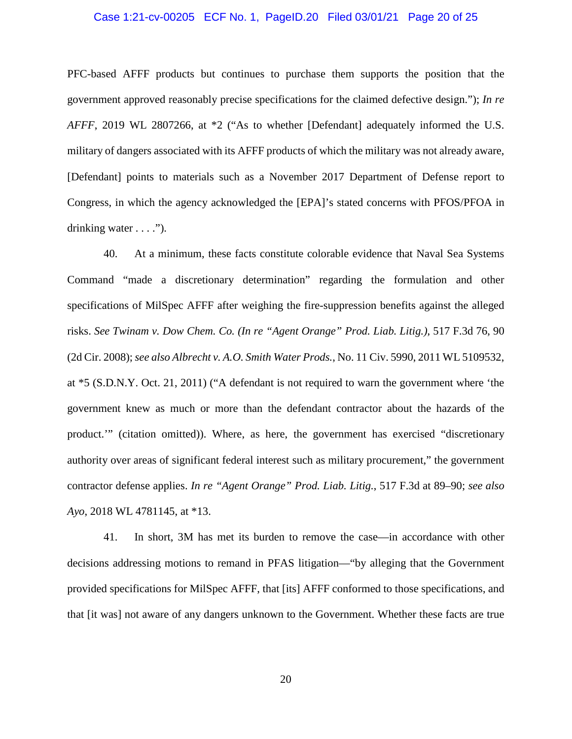### Case 1:21-cv-00205 ECF No. 1, PageID.20 Filed 03/01/21 Page 20 of 25

PFC-based AFFF products but continues to purchase them supports the position that the government approved reasonably precise specifications for the claimed defective design."); *In re AFFF*, 2019 WL 2807266, at \*2 ("As to whether [Defendant] adequately informed the U.S. military of dangers associated with its AFFF products of which the military was not already aware, [Defendant] points to materials such as a November 2017 Department of Defense report to Congress, in which the agency acknowledged the [EPA]'s stated concerns with PFOS/PFOA in drinking water  $\dots$ .").

40. At a minimum, these facts constitute colorable evidence that Naval Sea Systems Command "made a discretionary determination" regarding the formulation and other specifications of MilSpec AFFF after weighing the fire-suppression benefits against the alleged risks. *See Twinam v. Dow Chem. Co. (In re "Agent Orange" Prod. Liab. Litig.)*, 517 F.3d 76, 90 (2d Cir. 2008); *see also Albrecht v. A.O. Smith Water Prods.*, No. 11 Civ. 5990, 2011 WL 5109532, at \*5 (S.D.N.Y. Oct. 21, 2011) ("A defendant is not required to warn the government where 'the government knew as much or more than the defendant contractor about the hazards of the product.'" (citation omitted)). Where, as here, the government has exercised "discretionary authority over areas of significant federal interest such as military procurement," the government contractor defense applies. *In re "Agent Orange" Prod. Liab. Litig.*, 517 F.3d at 89–90; *see also Ayo*, 2018 WL 4781145, at \*13.

41. In short, 3M has met its burden to remove the case—in accordance with other decisions addressing motions to remand in PFAS litigation—"by alleging that the Government provided specifications for MilSpec AFFF, that [its] AFFF conformed to those specifications, and that [it was] not aware of any dangers unknown to the Government. Whether these facts are true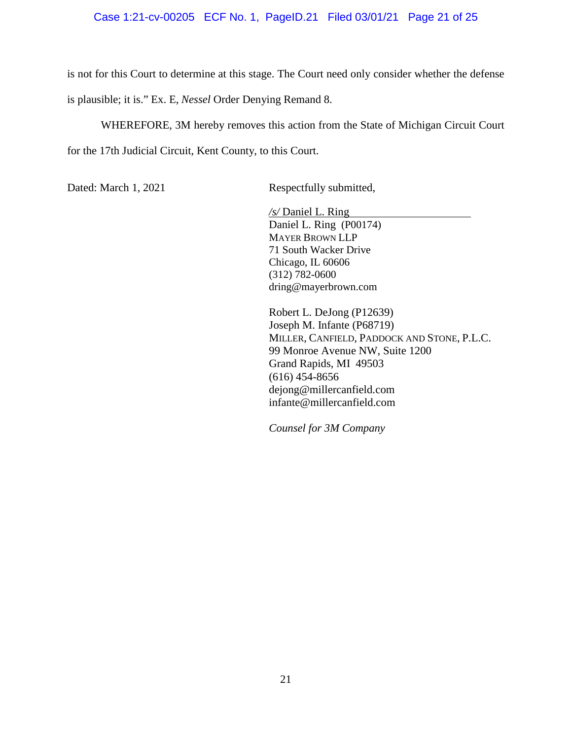# Case 1:21-cv-00205 ECF No. 1, PageID.21 Filed 03/01/21 Page 21 of 25

is not for this Court to determine at this stage. The Court need only consider whether the defense is plausible; it is." Ex. E, *Nessel* Order Denying Remand 8.

WHEREFORE, 3M hereby removes this action from the State of Michigan Circuit Court for the 17th Judicial Circuit, Kent County, to this Court.

Dated: March 1, 2021 Respectfully submitted,

*/s/* Daniel L. Ring Daniel L. Ring (P00174) MAYER BROWN LLP 71 South Wacker Drive Chicago, IL 60606 (312) 782-0600 dring@mayerbrown.com

Robert L. DeJong (P12639) Joseph M. Infante (P68719) MILLER, CANFIELD, PADDOCK AND STONE, P.L.C. 99 Monroe Avenue NW, Suite 1200 Grand Rapids, MI 49503 (616) 454-8656 dejong@millercanfield.com infante@millercanfield.com

*Counsel for 3M Company*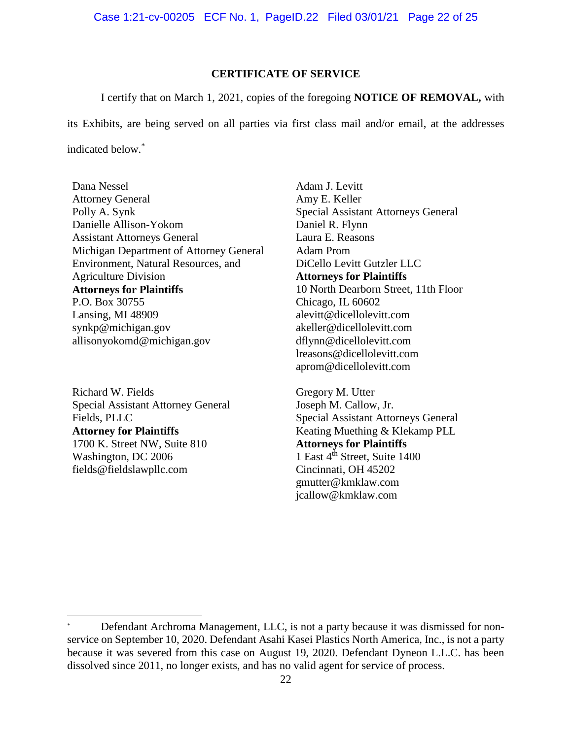Case 1:21-cv-00205 ECF No. 1, PageID.22 Filed 03/01/21 Page 22 of 25

# **CERTIFICATE OF SERVICE**

I certify that on March 1, 2021, copies of the foregoing **NOTICE OF REMOVAL,** with

its Exhibits, are being served on all parties via first class mail and/or email, at the addresses indicated below.\*

Dana Nessel Attorney General Polly A. Synk Danielle Allison-Yokom Assistant Attorneys General Michigan Department of Attorney General Environment, Natural Resources, and Agriculture Division **Attorneys for Plaintiffs**  P.O. Box 30755 Lansing, MI 48909 synkp@michigan.gov allisonyokomd@michigan.gov

Richard W. Fields Special Assistant Attorney General Fields, PLLC **Attorney for Plaintiffs**  1700 K. Street NW, Suite 810 Washington, DC 2006 fields@fieldslawpllc.com

Adam J. Levitt Amy E. Keller Special Assistant Attorneys General Daniel R. Flynn Laura E. Reasons Adam Prom DiCello Levitt Gutzler LLC **Attorneys for Plaintiffs**  10 North Dearborn Street, 11th Floor Chicago, IL 60602 alevitt@dicellolevitt.com akeller@dicellolevitt.com dflynn@dicellolevitt.com lreasons@dicellolevitt.com aprom@dicellolevitt.com

Gregory M. Utter Joseph M. Callow, Jr. Special Assistant Attorneys General Keating Muething & Klekamp PLL **Attorneys for Plaintiffs**  1 East 4<sup>th</sup> Street, Suite 1400 Cincinnati, OH 45202 gmutter@kmklaw.com jcallow@kmklaw.com

Defendant Archroma Management, LLC, is not a party because it was dismissed for nonservice on September 10, 2020. Defendant Asahi Kasei Plastics North America, Inc., is not a party because it was severed from this case on August 19, 2020. Defendant Dyneon L.L.C. has been dissolved since 2011, no longer exists, and has no valid agent for service of process.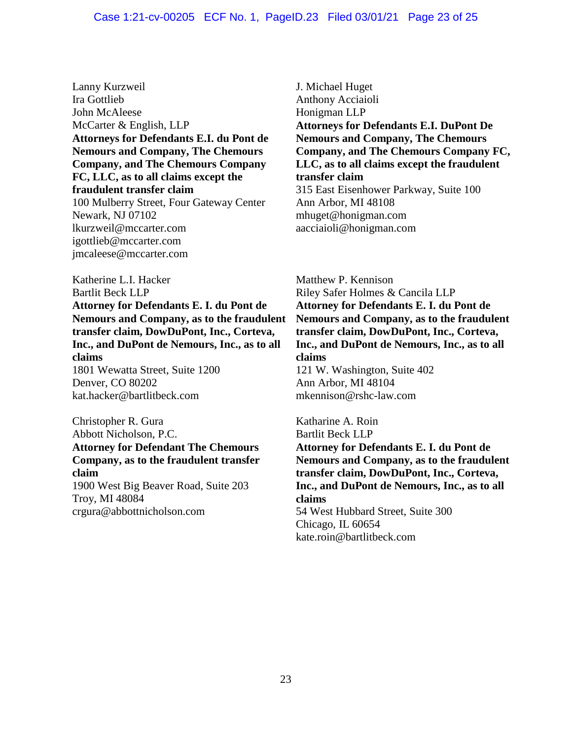#### Case 1:21-cv-00205 ECF No. 1, PageID.23 Filed 03/01/21 Page 23 of 25

Lanny Kurzweil Ira Gottlieb John McAleese McCarter & English, LLP **Attorneys for Defendants E.I. du Pont de Nemours and Company, The Chemours Company, and The Chemours Company FC, LLC, as to all claims except the fraudulent transfer claim**  100 Mulberry Street, Four Gateway Center Newark, NJ 07102 lkurzweil@mccarter.com igottlieb@mccarter.com jmcaleese@mccarter.com

Katherine L.I. Hacker Bartlit Beck LLP **Attorney for Defendants E. I. du Pont de Nemours and Company, as to the fraudulent transfer claim, DowDuPont, Inc., Corteva, Inc., and DuPont de Nemours, Inc., as to all claims**  1801 Wewatta Street, Suite 1200 Denver, CO 80202 kat.hacker@bartlitbeck.com

Christopher R. Gura Abbott Nicholson, P.C. **Attorney for Defendant The Chemours Company, as to the fraudulent transfer claim**  1900 West Big Beaver Road, Suite 203 Troy, MI 48084 crgura@abbottnicholson.com

J. Michael Huget Anthony Acciaioli Honigman LLP **Attorneys for Defendants E.I. DuPont De Nemours and Company, The Chemours Company, and The Chemours Company FC, LLC, as to all claims except the fraudulent transfer claim**  315 East Eisenhower Parkway, Suite 100 Ann Arbor, MI 48108 mhuget@honigman.com aacciaioli@honigman.com

Matthew P. Kennison Riley Safer Holmes & Cancila LLP **Attorney for Defendants E. I. du Pont de Nemours and Company, as to the fraudulent transfer claim, DowDuPont, Inc., Corteva, Inc., and DuPont de Nemours, Inc., as to all claims**  121 W. Washington, Suite 402 Ann Arbor, MI 48104 mkennison@rshc-law.com

Katharine A. Roin Bartlit Beck LLP **Attorney for Defendants E. I. du Pont de Nemours and Company, as to the fraudulent transfer claim, DowDuPont, Inc., Corteva, Inc., and DuPont de Nemours, Inc., as to all claims**  54 West Hubbard Street, Suite 300 Chicago, IL 60654 kate.roin@bartlitbeck.com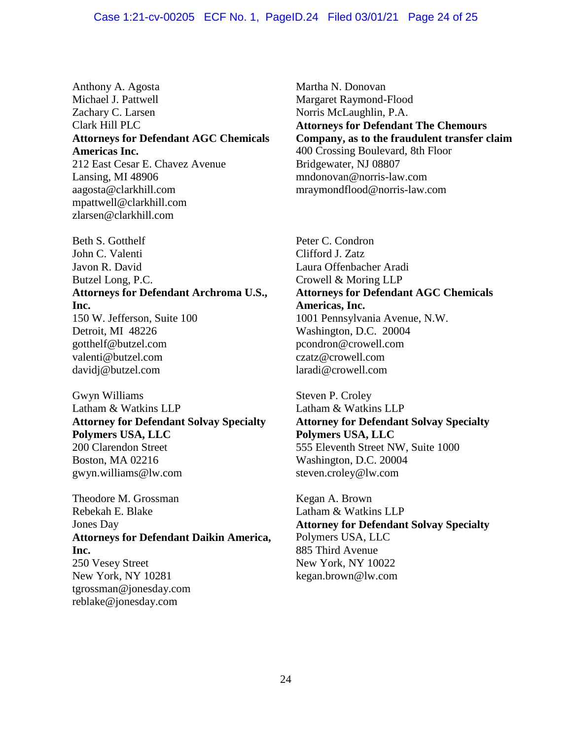## Case 1:21-cv-00205 ECF No. 1, PageID.24 Filed 03/01/21 Page 24 of 25

Anthony A. Agosta Michael J. Pattwell Zachary C. Larsen Clark Hill PLC **Attorneys for Defendant AGC Chemicals Americas Inc.**  212 East Cesar E. Chavez Avenue Lansing, MI 48906 aagosta@clarkhill.com mpattwell@clarkhill.com zlarsen@clarkhill.com

Beth S. Gotthelf John C. Valenti Javon R. David Butzel Long, P.C. **Attorneys for Defendant Archroma U.S., Inc.**  150 W. Jefferson, Suite 100 Detroit, MI 48226 gotthelf@butzel.com valenti@butzel.com davidj@butzel.com

Gwyn Williams Latham & Watkins LLP **Attorney for Defendant Solvay Specialty Polymers USA, LLC**  200 Clarendon Street Boston, MA 02216 gwyn.williams@lw.com

Theodore M. Grossman Rebekah E. Blake Jones Day **Attorneys for Defendant Daikin America, Inc.**  250 Vesey Street New York, NY 10281 tgrossman@jonesday.com reblake@jonesday.com

Martha N. Donovan Margaret Raymond-Flood Norris McLaughlin, P.A. **Attorneys for Defendant The Chemours Company, as to the fraudulent transfer claim**  400 Crossing Boulevard, 8th Floor Bridgewater, NJ 08807 mndonovan@norris-law.com mraymondflood@norris-law.com

Peter C. Condron Clifford J. Zatz Laura Offenbacher Aradi Crowell & Moring LLP **Attorneys for Defendant AGC Chemicals Americas, Inc.**  1001 Pennsylvania Avenue, N.W. Washington, D.C. 20004 pcondron@crowell.com czatz@crowell.com laradi@crowell.com

Steven P. Croley Latham & Watkins LLP **Attorney for Defendant Solvay Specialty Polymers USA, LLC**  555 Eleventh Street NW, Suite 1000 Washington, D.C. 20004 steven.croley@lw.com

Kegan A. Brown Latham & Watkins LLP **Attorney for Defendant Solvay Specialty** Polymers USA, LLC 885 Third Avenue New York, NY 10022 kegan.brown@lw.com